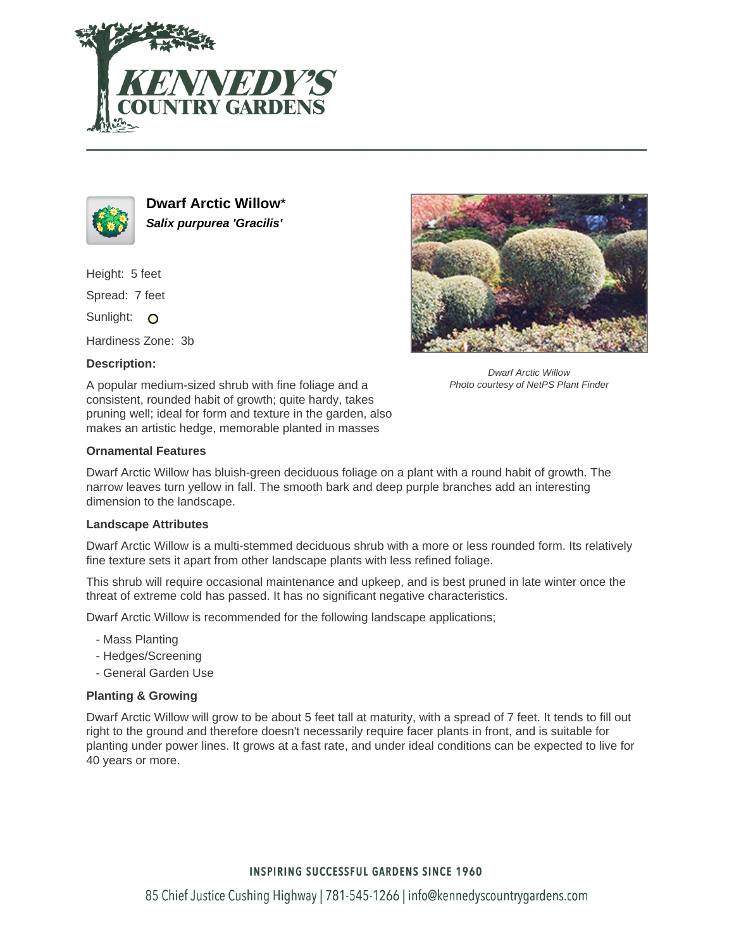



**Dwarf Arctic Willow**\* **Salix purpurea 'Gracilis'**

Height: 5 feet

Spread: 7 feet

Sunlight: O

Hardiness Zone: 3b

## **Description:**

A popular medium-sized shrub with fine foliage and a consistent, rounded habit of growth; quite hardy, takes pruning well; ideal for form and texture in the garden, also makes an artistic hedge, memorable planted in masses

## **Ornamental Features**

Dwarf Arctic Willow has bluish-green deciduous foliage on a plant with a round habit of growth. The narrow leaves turn yellow in fall. The smooth bark and deep purple branches add an interesting dimension to the landscape.

## **Landscape Attributes**

Dwarf Arctic Willow is a multi-stemmed deciduous shrub with a more or less rounded form. Its relatively fine texture sets it apart from other landscape plants with less refined foliage.

This shrub will require occasional maintenance and upkeep, and is best pruned in late winter once the threat of extreme cold has passed. It has no significant negative characteristics.

Dwarf Arctic Willow is recommended for the following landscape applications;

- Mass Planting
- Hedges/Screening
- General Garden Use

## **Planting & Growing**

Dwarf Arctic Willow will grow to be about 5 feet tall at maturity, with a spread of 7 feet. It tends to fill out right to the ground and therefore doesn't necessarily require facer plants in front, and is suitable for planting under power lines. It grows at a fast rate, and under ideal conditions can be expected to live for 40 years or more.



Dwarf Arctic Willow Photo courtesy of NetPS Plant Finder

# **INSPIRING SUCCESSFUL GARDENS SINCE 1960**